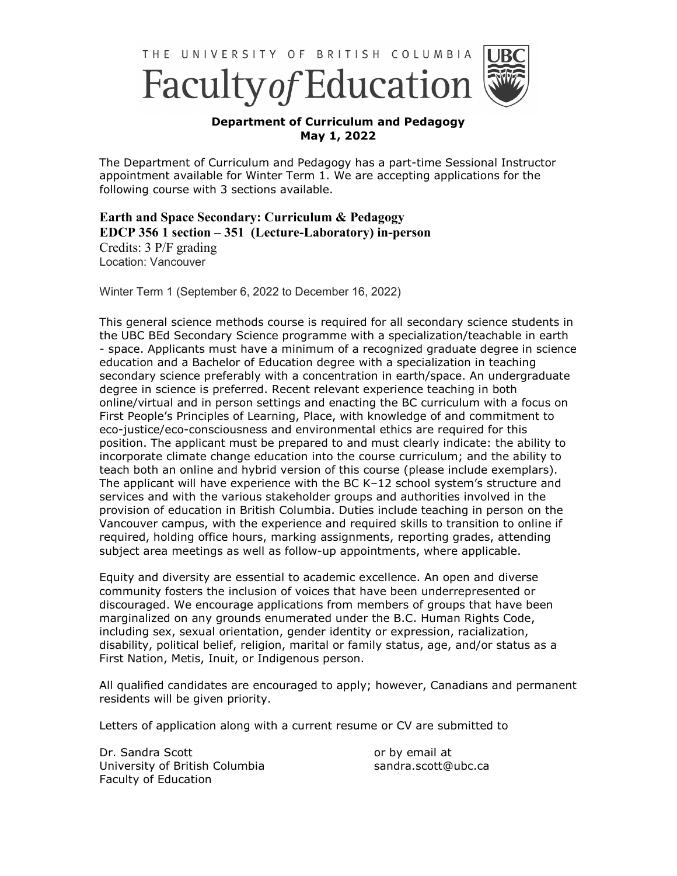



## **Department of Curriculum and Pedagogy May 1, 2022**

The Department of Curriculum and Pedagogy has a part-time Sessional Instructor appointment available for Winter Term 1. We are accepting applications for the following course with 3 sections available.

## **Earth and Space Secondary: Curriculum & Pedagogy EDCP 356 1 section – 351 (Lecture-Laboratory) in-person**

Credits: 3 P/F grading Location: Vancouver

Winter Term 1 (September 6, 2022 to December 16, 2022)

This general science methods course is required for all secondary science students in the UBC BEd Secondary Science programme with a specialization/teachable in earth - space. Applicants must have a minimum of a recognized graduate degree in science education and a Bachelor of Education degree with a specialization in teaching secondary science preferably with a concentration in earth/space. An undergraduate degree in science is preferred. Recent relevant experience teaching in both online/virtual and in person settings and enacting the BC curriculum with a focus on First People's Principles of Learning, Place, with knowledge of and commitment to eco-justice/eco-consciousness and environmental ethics are required for this position. The applicant must be prepared to and must clearly indicate: the ability to incorporate climate change education into the course curriculum; and the ability to teach both an online and hybrid version of this course (please include exemplars). The applicant will have experience with the BC K–12 school system's structure and services and with the various stakeholder groups and authorities involved in the provision of education in British Columbia. Duties include teaching in person on the Vancouver campus, with the experience and required skills to transition to online if required, holding office hours, marking assignments, reporting grades, attending subject area meetings as well as follow-up appointments, where applicable.

Equity and diversity are essential to academic excellence. An open and diverse community fosters the inclusion of voices that have been underrepresented or discouraged. We encourage applications from members of groups that have been marginalized on any grounds enumerated under the B.C. Human Rights Code, including sex, sexual orientation, gender identity or expression, racialization, disability, political belief, religion, marital or family status, age, and/or status as a First Nation, Metis, Inuit, or Indigenous person.

All qualified candidates are encouraged to apply; however, Canadians and permanent residents will be given priority.

Letters of application along with a current resume or CV are submitted to

Dr. Sandra Scott University of British Columbia Faculty of Education

or by email at sandra.scott@ubc.ca